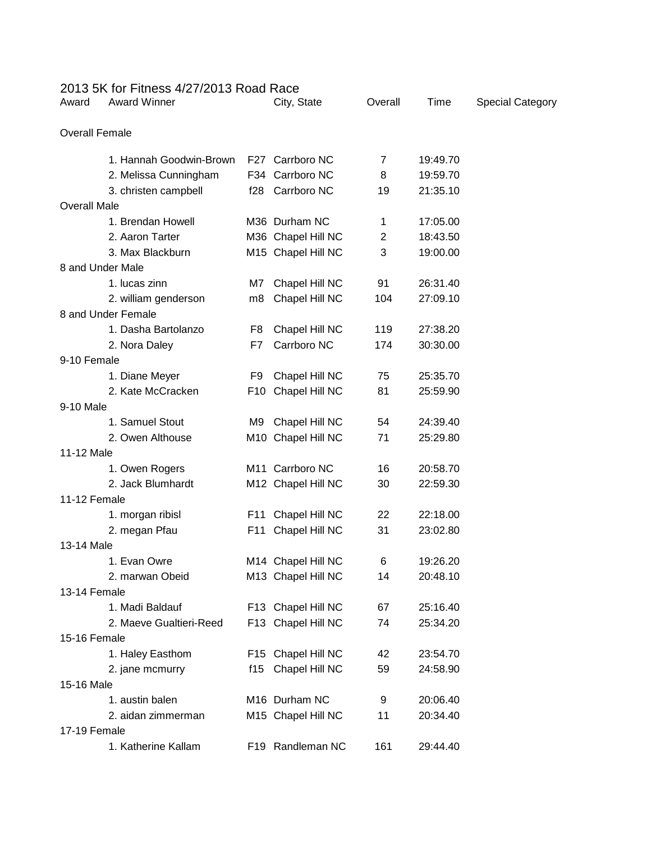| 2013 5K for Fitness 4/27/2013 Road Race |     |                             |                |          |                         |
|-----------------------------------------|-----|-----------------------------|----------------|----------|-------------------------|
| <b>Award Winner</b><br>Award            |     | City, State                 | Overall        | Time     | <b>Special Category</b> |
| <b>Overall Female</b>                   |     |                             |                |          |                         |
| 1. Hannah Goodwin-Brown                 |     | F27 Carrboro NC             | 7              | 19:49.70 |                         |
| 2. Melissa Cunningham                   |     | F34 Carrboro NC             | 8              | 19:59.70 |                         |
| 3. christen campbell                    | f28 | Carrboro NC                 | 19             | 21:35.10 |                         |
| <b>Overall Male</b>                     |     |                             |                |          |                         |
| 1. Brendan Howell                       |     | M36 Durham NC               | 1              | 17:05.00 |                         |
| 2. Aaron Tarter                         |     | M36 Chapel Hill NC          | $\overline{2}$ | 18:43.50 |                         |
| 3. Max Blackburn                        |     | M15 Chapel Hill NC          | 3              | 19:00.00 |                         |
| 8 and Under Male                        |     |                             |                |          |                         |
| 1. lucas zinn                           | M7  | Chapel Hill NC              | 91             | 26:31.40 |                         |
| 2. william genderson                    | m8  | Chapel Hill NC              | 104            | 27:09.10 |                         |
| 8 and Under Female                      |     |                             |                |          |                         |
| 1. Dasha Bartolanzo                     | F8  | Chapel Hill NC              | 119            | 27:38.20 |                         |
| 2. Nora Daley                           | F7  | Carrboro NC                 | 174            | 30:30.00 |                         |
| 9-10 Female                             |     |                             |                |          |                         |
| 1. Diane Meyer                          | F9  | Chapel Hill NC              | 75             | 25:35.70 |                         |
| 2. Kate McCracken                       |     | F10 Chapel Hill NC          | 81             | 25:59.90 |                         |
| 9-10 Male                               |     |                             |                |          |                         |
| 1. Samuel Stout                         | M9  | Chapel Hill NC              | 54             | 24:39.40 |                         |
| 2. Owen Althouse                        |     | M10 Chapel Hill NC          | 71             | 25:29.80 |                         |
| 11-12 Male                              |     |                             |                |          |                         |
| 1. Owen Rogers                          |     | M <sub>11</sub> Carrboro NC | 16             | 20:58.70 |                         |
| 2. Jack Blumhardt                       |     | M12 Chapel Hill NC          | 30             | 22:59.30 |                         |
| 11-12 Female                            |     |                             |                |          |                         |
| 1. morgan ribisl                        | F11 | Chapel Hill NC              | 22             | 22:18.00 |                         |
| 2. megan Pfau                           | F11 | Chapel Hill NC              | 31             | 23:02.80 |                         |
| 13-14 Male                              |     |                             |                |          |                         |
| 1. Evan Owre                            |     | M14 Chapel Hill NC          | 6              | 19:26.20 |                         |
| 2. marwan Obeid                         |     | M13 Chapel Hill NC          | 14             | 20:48.10 |                         |
| 13-14 Female                            |     |                             |                |          |                         |
| 1. Madi Baldauf                         |     | F13 Chapel Hill NC          | 67             | 25:16.40 |                         |
| 2. Maeve Gualtieri-Reed                 |     | F13 Chapel Hill NC          | 74             | 25:34.20 |                         |
| 15-16 Female                            |     |                             |                |          |                         |
| 1. Haley Easthom                        |     | F15 Chapel Hill NC          | 42             | 23:54.70 |                         |
| 2. jane mcmurry                         | f15 | Chapel Hill NC              | 59             | 24:58.90 |                         |
| 15-16 Male                              |     |                             |                |          |                         |
| 1. austin balen                         |     | M16 Durham NC               | 9              | 20:06.40 |                         |
| 2. aidan zimmerman                      |     | M15 Chapel Hill NC          | 11             | 20:34.40 |                         |
| 17-19 Female                            |     |                             |                |          |                         |
| 1. Katherine Kallam                     |     | F19 Randleman NC            | 161            | 29:44.40 |                         |